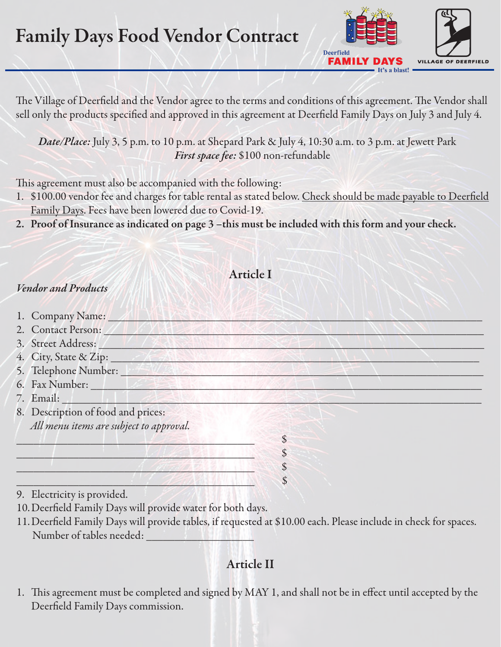# Family Days Food Vendor Contract



The Village of Deerfield and the Vendor agree to the terms and conditions of this agreement. The Vendor shall sell only the products specified and approved in this agreement at Deerfield Family Days on July 3 and July 4.

*Date/Place:* July 3, 5 p.m. to 10 p.m. at Shepard Park & July 4, 10:30 a.m. to 3 p.m. at Jewett Park *First space fee:* \$100 non-refundable

This agreement must also be accompanied with the following:

- 1. \$100.00 vendor fee and charges for table rental as stated below. Check should be made payable to Deerfield Family Days. Fees have been lowered due to Covid-19.
- 2. Proof of Insurance as indicated on page 3 –this must be included with this form and your check.

### Article I

#### *Vendor and Products*

| 1. Company Name: 1                             |  |  |
|------------------------------------------------|--|--|
| 2. Contact Person:                             |  |  |
| 3. Street Address:                             |  |  |
| 4. City, State & Zip:                          |  |  |
| 5. Telephone Number:                           |  |  |
|                                                |  |  |
| 7. Email:                                      |  |  |
| 8. Description of food and prices:             |  |  |
| All menu items are subject to approval.        |  |  |
|                                                |  |  |
|                                                |  |  |
|                                                |  |  |
|                                                |  |  |
| $\sim$ 1 $\sim$ $\sim$ $\sim$ $\sim$ $\sim$ 11 |  |  |

9. Electricity is provided.

10.Deerfield Family Days will provide water for both days.

11.Deerfield Family Days will provide tables, if requested at \$10.00 each. Please include in check for spaces. Number of tables needed:

## Article II

1. This agreement must be completed and signed by MAY 1, and shall not be in effect until accepted by the Deerfield Family Days commission.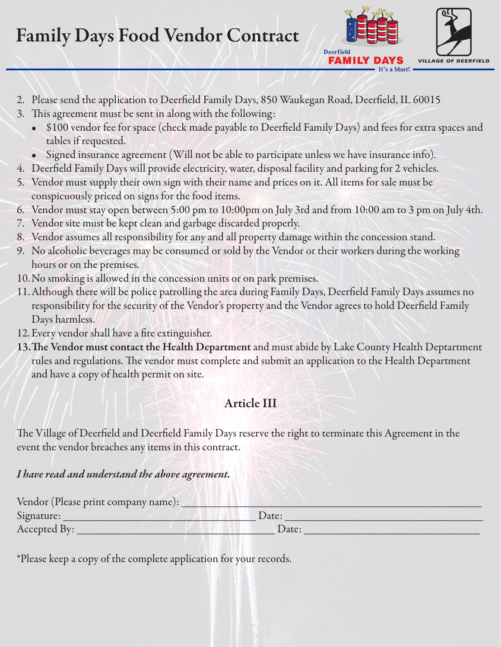# Family Days Food Vendor Contract



- 2. Please send the application to Deerfield Family Days, 850 Waukegan Road, Deerfield, IL 60015
- 3. This agreement must be sent in along with the following:
	- \$100 vendor fee for space (check made payable to Deerfield Family Days) and fees for extra spaces and tables if requested.
	- Signed insurance agreement (Will not be able to participate unless we have insurance info).
- 4. Deerfield Family Days will provide electricity, water, disposal facility and parking for 2 vehicles.
- 5. Vendor must supply their own sign with their name and prices on it. All items for sale must be conspicuously priced on signs for the food items.
- 6. Vendor must stay open between 5:00 pm to 10:00pm on July 3rd and from 10:00 am to 3 pm on July 4th.
- 7. Vendor site must be kept clean and garbage discarded properly.
- 8. Vendor assumes all responsibility for any and all property damage within the concession stand.
- 9. No alcoholic beverages may be consumed or sold by the Vendor or their workers during the working hours or on the premises.
- 10.No smoking is allowed in the concession units or on park premises.
- 11.Although there will be police patrolling the area during Family Days, Deerfield Family Days assumes no responsibility for the security of the Vendor's property and the Vendor agrees to hold Deerfield Family Days harmless.
- 12.Every vendor shall have a fire extinguisher.
- 13.The Vendor must contact the Health Department and must abide by Lake County Health Deptartment rules and regulations. The vendor must complete and submit an application to the Health Department and have a copy of health permit on site.

### Article III

The Village of Deerfield and Deerfield Family Days reserve the right to terminate this Agreement in the event the vendor breaches any items in this contract.

#### *I have read and understand the above agreement.*

| Vendor (Please print company name): |       |  |
|-------------------------------------|-------|--|
| Signature:                          | Date: |  |
| Accepted By:                        | Date: |  |

\*Please keep a copy of the complete application for your records.